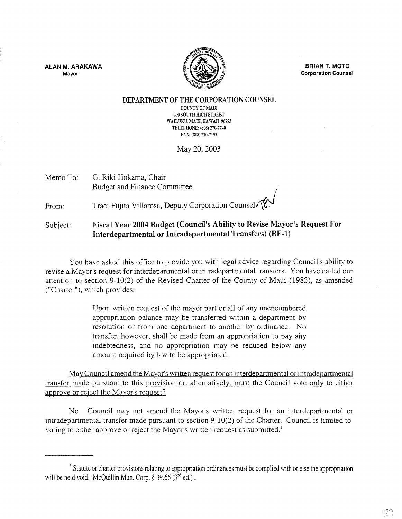**ALAN M. ARAKAWA Mayor** 



**BRIAN T. MOTO Corporation Counsel** 

## **DEPARTMENT OF THE CORPORATION COUNSEL**

COUNTY OF MAUl 200 SOUTH HIGH STREET WAILUKU, MAUI, HAWAII 96793 TELEPHONE: (808) 270-7740 FAX: (808) 270-7152

May 20,2003

Memo To: G. Riki Hokama, Chair Budget and Finance Committee .

From: Traci Fujita Villarosa, Deputy Corporation Counsel

## Subject: **Fiscal Year 2004 Budget (Council's Ability to Revise Mayor's Request For Interdepartmental or Intradepartmental Transfers) (BF-l)**

You have asked this office to provide you with legal advice regarding Council's ability to revise a Mayor's request for interdepartmental or intradepartmental transfers. You have called our attention to section 9-10(2) of the Revised Charter of the County of Maui (1983), as amended ("Charter"), which provides:

> Upon written request of the mayor part or all of any unencumbered appropriation balance may be transferred within a department by resolution or from one department to another by ordinance. No transfer, however, shall be made from an appropriation to pay any indebtedness, and no appropriation may be reduced below any amount required by law to be appropriated.

Mav Council amend the Mavor's written request for an interdepartmental or intradepartmental transfer made pursuant to this provision or. alternatively. must the Council vote onlv to either approve or reject the Mavor's request?

No. Council may not amend the Mayor's written request for an interdepartmental or intradepartmental transfer made pursuant to section 9-10(2) of the Charter. Council is limited to voting to either approve or reject the Mayor's written request as submitted.<sup>1</sup>

<sup>&</sup>lt;sup>1</sup> Statute or charter provisions relating to appropriation ordinances must be complied with or else the appropriation will be held void. McQuillin Mun. Corp.  $\S 39.66$  ( $3^{rd}$  ed.).